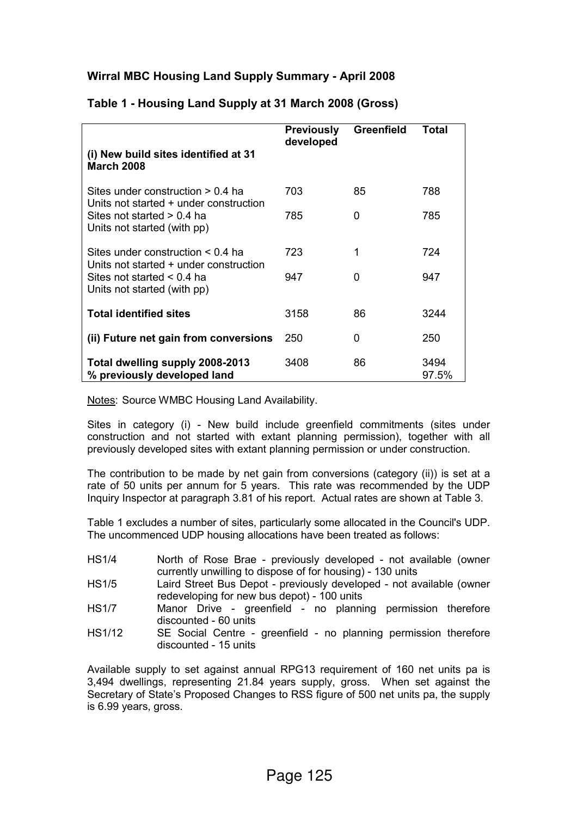## Wirral MBC Housing Land Supply Summary - April 2008

|                                                                                  | <b>Previously</b><br>developed | Greenfield | <b>Total</b>  |
|----------------------------------------------------------------------------------|--------------------------------|------------|---------------|
| (i) New build sites identified at 31<br><b>March 2008</b>                        |                                |            |               |
| Sites under construction $> 0.4$ ha<br>Units not started + under construction    | 703                            | 85         | 788           |
| Sites not started $> 0.4$ ha<br>Units not started (with pp)                      | 785                            | 0          | 785           |
| Sites under construction $\leq 0.4$ ha<br>Units not started + under construction | 723                            | 1          | 724           |
| Sites not started $\leq 0.4$ ha<br>Units not started (with pp)                   | 947                            | O          | 947           |
| <b>Total identified sites</b>                                                    | 3158                           | 86         | 3244          |
| (ii) Future net gain from conversions                                            | 250                            | 0          | 250           |
| Total dwelling supply 2008-2013<br>% previously developed land                   | 3408                           | 86         | 3494<br>97.5% |

#### Table 1 - Housing Land Supply at 31 March 2008 (Gross)

Notes: Source WMBC Housing Land Availability.

Sites in category (i) - New build include greenfield commitments (sites under construction and not started with extant planning permission), together with all previously developed sites with extant planning permission or under construction.

The contribution to be made by net gain from conversions (category (ii)) is set at a rate of 50 units per annum for 5 years. This rate was recommended by the UDP Inquiry Inspector at paragraph 3.81 of his report. Actual rates are shown at Table 3.

Table 1 excludes a number of sites, particularly some allocated in the Council's UDP. The uncommenced UDP housing allocations have been treated as follows:

| <b>HS1/4</b> | North of Rose Brae - previously developed - not available (owner    |
|--------------|---------------------------------------------------------------------|
|              | currently unwilling to dispose of for housing) - 130 units          |
| 1104E        | Label Oteach Dua Danah Lucandanah dan alama di matsanallah lan masi |

- HS1/5 Laird Street Bus Depot previously developed not available (owner redeveloping for new bus depot) - 100 units
- HS1/7 Manor Drive greenfield no planning permission therefore discounted - 60 units
- HS1/12 SE Social Centre greenfield no planning permission therefore discounted - 15 units

Available supply to set against annual RPG13 requirement of 160 net units pa is 3,494 dwellings, representing 21.84 years supply, gross. When set against the Secretary of State's Proposed Changes to RSS figure of 500 net units pa, the supply is 6.99 years, gross.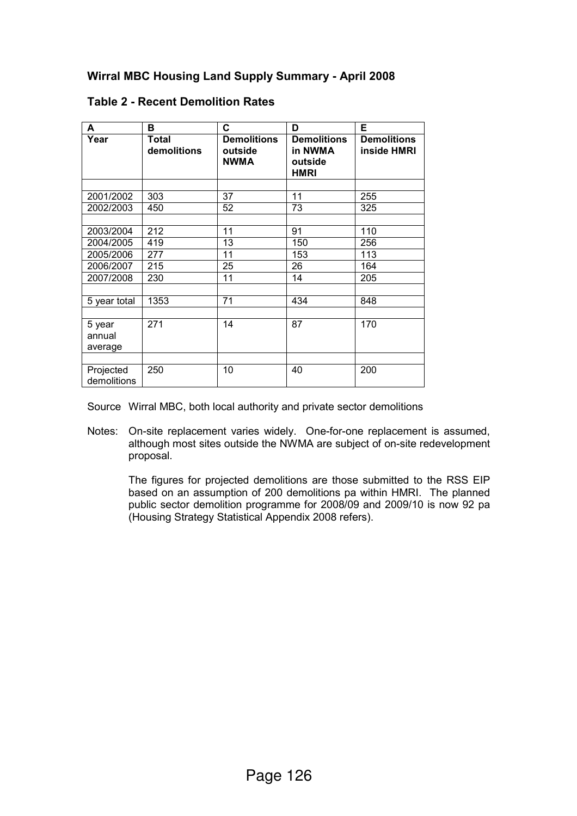# Wirral MBC Housing Land Supply Summary - April 2008

| A                           | в                    | C                                            | D                                                       | Е                                 |
|-----------------------------|----------------------|----------------------------------------------|---------------------------------------------------------|-----------------------------------|
| Year                        | Total<br>demolitions | <b>Demolitions</b><br>outside<br><b>NWMA</b> | <b>Demolitions</b><br>in NWMA<br>outside<br><b>HMRI</b> | <b>Demolitions</b><br>inside HMRI |
|                             |                      |                                              |                                                         |                                   |
| 2001/2002                   | 303                  | 37                                           | 11                                                      | 255                               |
| 2002/2003                   | 450                  | 52                                           | 73                                                      | 325                               |
|                             |                      |                                              |                                                         |                                   |
| 2003/2004                   | 212                  | 11                                           | 91                                                      | 110                               |
| 2004/2005                   | 419                  | 13                                           | 150                                                     | 256                               |
| 2005/2006                   | 277                  | 11                                           | 153                                                     | 113                               |
| 2006/2007                   | 215                  | 25                                           | 26                                                      | 164                               |
| 2007/2008                   | 230                  | 11                                           | 14                                                      | 205                               |
|                             |                      |                                              |                                                         |                                   |
| 5 year total                | 1353                 | 71                                           | 434                                                     | 848                               |
|                             |                      |                                              |                                                         |                                   |
| 5 year<br>annual<br>average | 271                  | 14                                           | 87                                                      | 170                               |
|                             |                      |                                              |                                                         |                                   |
| Projected<br>demolitions    | 250                  | 10                                           | 40                                                      | 200                               |

### Table 2 - Recent Demolition Rates

Source Wirral MBC, both local authority and private sector demolitions

Notes: On-site replacement varies widely. One-for-one replacement is assumed, although most sites outside the NWMA are subject of on-site redevelopment proposal.

 The figures for projected demolitions are those submitted to the RSS EIP based on an assumption of 200 demolitions pa within HMRI. The planned public sector demolition programme for 2008/09 and 2009/10 is now 92 pa (Housing Strategy Statistical Appendix 2008 refers).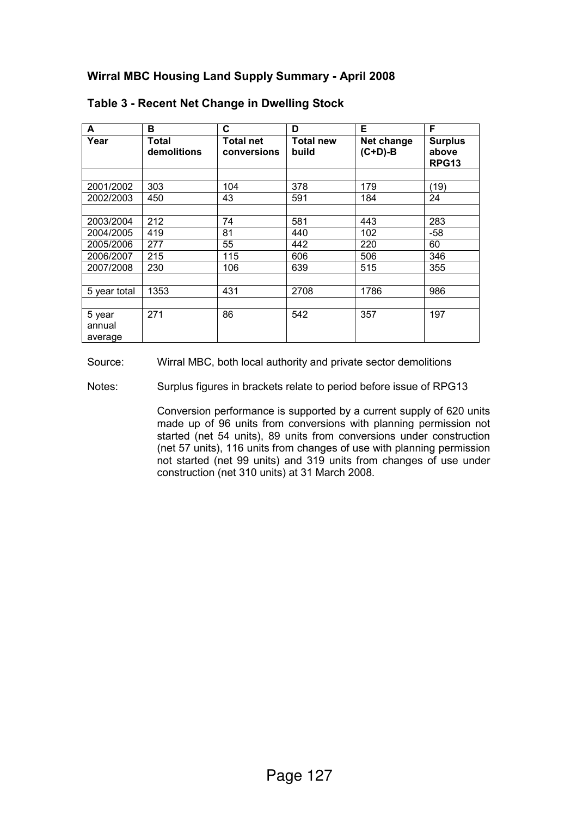| A                           | в                    | C                        | D                         | Е                       | F                                       |
|-----------------------------|----------------------|--------------------------|---------------------------|-------------------------|-----------------------------------------|
| Year                        | Total<br>demolitions | Total net<br>conversions | <b>Total new</b><br>build | Net change<br>$(C+D)-B$ | <b>Surplus</b><br>above<br><b>RPG13</b> |
|                             |                      |                          |                           |                         |                                         |
| 2001/2002                   | 303                  | 104                      | 378                       | 179                     | (19)                                    |
| 2002/2003                   | 450                  | 43                       | 591                       | 184                     | 24                                      |
|                             |                      |                          |                           |                         |                                         |
| 2003/2004                   | 212                  | 74                       | 581                       | 443                     | 283                                     |
| 2004/2005                   | 419                  | 81                       | 440                       | 102                     | $-58$                                   |
| 2005/2006                   | 277                  | 55                       | 442                       | 220                     | 60                                      |
| 2006/2007                   | 215                  | 115                      | 606                       | 506                     | 346                                     |
| 2007/2008                   | 230                  | 106                      | 639                       | 515                     | 355                                     |
|                             |                      |                          |                           |                         |                                         |
| 5 year total                | 1353                 | 431                      | 2708                      | 1786                    | 986                                     |
|                             |                      |                          |                           |                         |                                         |
| 5 year<br>annual<br>average | 271                  | 86                       | 542                       | 357                     | 197                                     |

### Table 3 - Recent Net Change in Dwelling Stock

Source: Wirral MBC, both local authority and private sector demolitions

Notes: Surplus figures in brackets relate to period before issue of RPG13

 Conversion performance is supported by a current supply of 620 units made up of 96 units from conversions with planning permission not started (net 54 units), 89 units from conversions under construction (net 57 units), 116 units from changes of use with planning permission not started (net 99 units) and 319 units from changes of use under construction (net 310 units) at 31 March 2008.